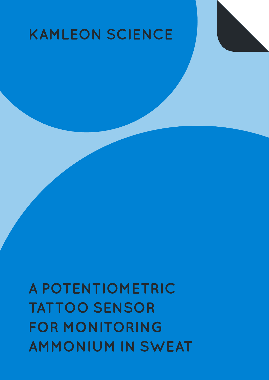# **A POTENTIOMETRIC TATTOO SENSOR FOR MONITORING AMMONIUM IN SWEAT**

## **KAMLEON SCIENCE**